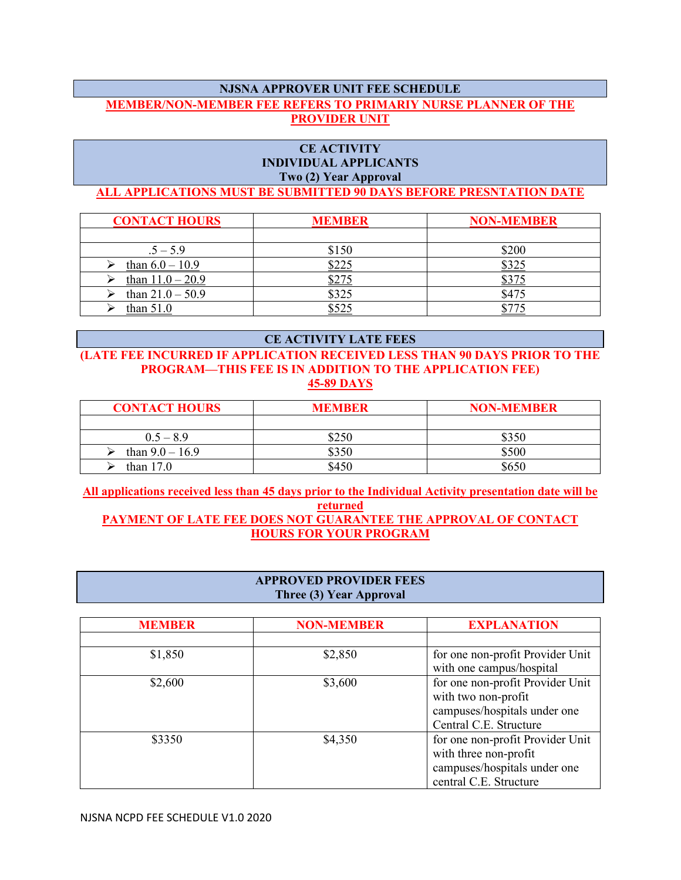# **NJSNA APPROVER UNIT FEE SCHEDULE MEMBER/NON-MEMBER FEE REFERS TO PRIMARIY NURSE PLANNER OF THE PROVIDER UNIT**

## **CE ACTIVITY INDIVIDUAL APPLICANTS Two (2) Year Approval**

## **ALL APPLICATIONS MUST BE SUBMITTED 90 DAYS BEFORE PRESNTATION DATE**

| <b>CONTACT HOURS</b> | <b>MEMBER</b> | <b>NON-MEMBER</b> |
|----------------------|---------------|-------------------|
|                      |               |                   |
| $.5 - 5.9$           | \$150         | \$200             |
| than $6.0 - 10.9$    |               | \$325             |
| than $11.0 - 20.9$   |               | <u>، ر، ر</u>     |
| than $21.0 - 50.9$   | \$325         | \$475             |
| than $51.0$          |               |                   |

#### **CE ACTIVITY LATE FEES**

## **(LATE FEE INCURRED IF APPLICATION RECEIVED LESS THAN 90 DAYS PRIOR TO THE PROGRAM—THIS FEE IS IN ADDITION TO THE APPLICATION FEE) 45-89 DAYS**

| <b>CONTACT HOURS</b> | <b>MEMBER</b> | <b>NON-MEMBER</b> |
|----------------------|---------------|-------------------|
|                      |               |                   |
| $0.5 - 8.9$          | \$250         | \$350             |
| than $9.0 - 16.9$    | \$350         | \$500             |
| than $17.0$          | \$450         | \$650             |

**All applications received less than 45 days prior to the Individual Activity presentation date will be returned PAYMENT OF LATE FEE DOES NOT GUARANTEE THE APPROVAL OF CONTACT HOURS FOR YOUR PROGRAM**

### **APPROVED PROVIDER FEES Three (3) Year Approval**

| <b>MEMBER</b> | <b>NON-MEMBER</b> | <b>EXPLANATION</b>                                                                                                  |
|---------------|-------------------|---------------------------------------------------------------------------------------------------------------------|
|               |                   |                                                                                                                     |
| \$1,850       | \$2,850           | for one non-profit Provider Unit<br>with one campus/hospital                                                        |
| \$2,600       | \$3,600           | for one non-profit Provider Unit<br>with two non-profit<br>campuses/hospitals under one<br>Central C.E. Structure   |
| \$3350        | \$4,350           | for one non-profit Provider Unit<br>with three non-profit<br>campuses/hospitals under one<br>central C.E. Structure |